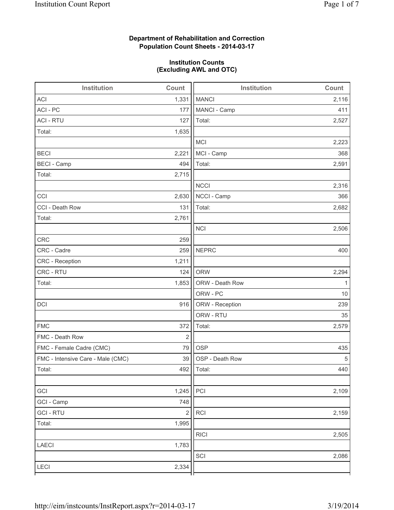## **Department of Rehabilitation and Correction Population Count Sheets - 2014-03-17**

### **Institution Counts (Excluding AWL and OTC)**

| Institution                       | Count          | Institution     | Count |
|-----------------------------------|----------------|-----------------|-------|
| <b>ACI</b>                        | 1,331          | <b>MANCI</b>    | 2,116 |
| ACI - PC                          | 177            | MANCI - Camp    | 411   |
| <b>ACI - RTU</b>                  | 127            | Total:          | 2,527 |
| Total:                            | 1,635          |                 |       |
|                                   |                | MCI             | 2,223 |
| <b>BECI</b>                       | 2,221          | MCI - Camp      | 368   |
| <b>BECI</b> - Camp                | 494            | Total:          | 2,591 |
| Total:                            | 2,715          |                 |       |
|                                   |                | <b>NCCI</b>     | 2,316 |
| CCI                               | 2,630          | NCCI - Camp     | 366   |
| CCI - Death Row                   | 131            | Total:          | 2,682 |
| Total:                            | 2,761          |                 |       |
|                                   |                | <b>NCI</b>      | 2,506 |
| <b>CRC</b>                        | 259            |                 |       |
| CRC - Cadre                       | 259            | <b>NEPRC</b>    | 400   |
| CRC - Reception                   | 1,211          |                 |       |
| CRC - RTU                         | 124            | <b>ORW</b>      | 2,294 |
| Total:                            | 1,853          | ORW - Death Row | 1     |
|                                   |                | ORW - PC        | 10    |
| DCI                               | 916            | ORW - Reception | 239   |
|                                   |                | ORW - RTU       | 35    |
| <b>FMC</b>                        | 372            | Total:          | 2,579 |
| FMC - Death Row                   | $\overline{2}$ |                 |       |
| FMC - Female Cadre (CMC)          | 79             | <b>OSP</b>      | 435   |
| FMC - Intensive Care - Male (CMC) | 39             | OSP - Death Row | 5     |
| Total:                            | 492            | Total:          | 440   |
|                                   |                |                 |       |
| GCI                               | 1,245          | PCI             | 2,109 |
| GCI - Camp                        | 748            |                 |       |
| <b>GCI-RTU</b>                    | $\sqrt{2}$     | <b>RCI</b>      | 2,159 |
| Total:                            | 1,995          |                 |       |
|                                   |                | <b>RICI</b>     | 2,505 |
| <b>LAECI</b>                      | 1,783          |                 |       |
|                                   |                | SCI             | 2,086 |
| LECI                              | 2,334          |                 |       |
|                                   |                |                 |       |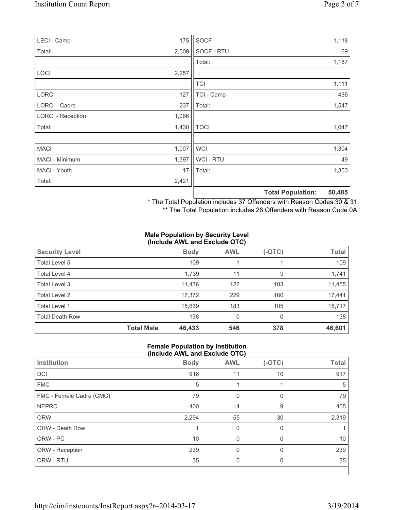| LECI - Camp              | 175   | SOCF        |                          | 1,118  |
|--------------------------|-------|-------------|--------------------------|--------|
| Total:                   | 2,509 | SOCF - RTU  |                          | 69     |
|                          |       | Total:      |                          | 1,187  |
| <b>LOCI</b>              | 2,257 |             |                          |        |
|                          |       | <b>TCI</b>  |                          | 1,111  |
| <b>LORCI</b>             | 127   | TCI - Camp  |                          | 436    |
| LORCI - Cadre            | 237   | Total:      |                          | 1,547  |
| <b>LORCI - Reception</b> | 1,066 |             |                          |        |
| Total:                   | 1,430 | <b>TOCI</b> |                          | 1,047  |
| <b>MACI</b>              | 1,007 | <b>WCI</b>  |                          | 1,304  |
| MACI - Minimum           | 1,397 | WCI - RTU   |                          | 49     |
| MACI - Youth             | 17    | Total:      |                          | 1,353  |
| Total:                   | 2,421 |             |                          |        |
|                          |       |             | <b>Total Population:</b> | 50,485 |

\* The Total Population includes 37 Offenders with Reason Codes 30 & 31.

\*\* The Total Population includes 28 Offenders with Reason Code 0A.

#### **Male Population by Security Level (Include AWL and Exclude OTC)**

| <b>Security Level</b>  |                   | <b>Body</b> | <b>AWL</b> | $(-OTC)$ | <b>Total</b> |
|------------------------|-------------------|-------------|------------|----------|--------------|
| Total Level 5          |                   | 109         |            |          | 109          |
| Total Level 4          |                   | 1,739       | 11         | 9        | 1,741        |
| Total Level 3          |                   | 11,436      | 122        | 103      | 11,455       |
| Total Level 2          |                   | 17,372      | 229        | 160      | 17,441       |
| Total Level 1          |                   | 15,639      | 183        | 105      | 15,717       |
| <b>Total Death Row</b> |                   | 138         | 0          | $\Omega$ | 138          |
|                        | <b>Total Male</b> | 46,433      | 546        | 378      | 46,601       |

### **Female Population by Institution (Include AWL and Exclude OTC)**

| Institution              | <b>Body</b> | <b>AWL</b> | $(-OTC)$     | <b>Total</b> |
|--------------------------|-------------|------------|--------------|--------------|
| DCI                      | 916         | 11         | 10           | 917          |
| <b>FMC</b>               | 5           |            |              | 5            |
| FMC - Female Cadre (CMC) | 79          | 0          | $\mathbf{0}$ | 79           |
| <b>NEPRC</b>             | 400         | 14         | 9            | 405          |
| <b>ORW</b>               | 2,294       | 55         | 30           | 2,319        |
| ORW - Death Row          |             | 0          | $\mathbf{0}$ |              |
| ORW - PC                 | 10          | $\Omega$   | 0            | 10           |
| ORW - Reception          | 239         | 0          | $\Omega$     | 239          |
| ORW - RTU                | 35          | 0          | 0            | 35           |
|                          |             |            |              |              |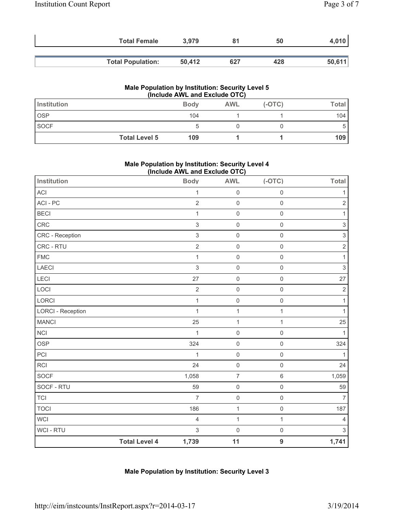| <b>Total Female</b>      | 3.979  |     | 50  |        |
|--------------------------|--------|-----|-----|--------|
| <b>Total Population:</b> | 50.412 | 627 | 428 | 50,611 |

### **Male Population by Institution: Security Level 5 (Include AWL and Exclude OTC)**

| Institution          | <b>Body</b> | <b>AWL</b> | $(-OTC)$ | <b>Total</b> |
|----------------------|-------------|------------|----------|--------------|
| <b>OSP</b>           | 104         |            |          | 104          |
| SOCF                 |             |            |          | D.           |
| <b>Total Level 5</b> | 109         |            |          | 109          |

### **Male Population by Institution: Security Level 4 (Include AWL and Exclude OTC)**

| Institution              |                      | <b>Body</b>    | <b>AWL</b>          | $(-OTC)$            | <b>Total</b>              |
|--------------------------|----------------------|----------------|---------------------|---------------------|---------------------------|
| ACI                      |                      | $\mathbf{1}$   | $\mathsf 0$         | $\mathbf 0$         | 1                         |
| ACI-PC                   |                      | $\overline{2}$ | $\mathbf 0$         | $\mathsf{O}\xspace$ | $\overline{2}$            |
| <b>BECI</b>              |                      | 1              | $\mathsf{O}\xspace$ | $\mathsf{O}\xspace$ | $\mathbf{1}$              |
| CRC                      |                      | $\mathfrak{S}$ | $\mathsf{O}$        | $\mathsf{O}\xspace$ | $\ensuremath{\mathsf{3}}$ |
| CRC - Reception          |                      | 3              | $\mathsf 0$         | $\mathbf 0$         | $\ensuremath{\mathsf{3}}$ |
| CRC - RTU                |                      | $\overline{c}$ | $\mathsf{O}\xspace$ | $\mathsf{O}\xspace$ | $\sqrt{2}$                |
| <b>FMC</b>               |                      | $\mathbf{1}$   | $\mathsf 0$         | $\mathbf 0$         | 1                         |
| <b>LAECI</b>             |                      | 3              | $\mathsf 0$         | $\mathsf 0$         | $\sqrt{3}$                |
| <b>LECI</b>              |                      | 27             | $\mathsf 0$         | $\mathsf{O}\xspace$ | 27                        |
| LOCI                     |                      | $\overline{2}$ | $\mathsf{O}\xspace$ | $\mathsf{O}\xspace$ | $\sqrt{2}$                |
| LORCI                    |                      | $\mathbf{1}$   | $\mathsf 0$         | $\mathsf{O}\xspace$ | 1                         |
| <b>LORCI - Reception</b> |                      | 1              | $\mathbf 1$         | 1                   | 1                         |
| <b>MANCI</b>             |                      | 25             | $\mathbf{1}$        | $\mathbf{1}$        | 25                        |
| <b>NCI</b>               |                      | $\mathbf{1}$   | $\mathsf{O}\xspace$ | $\mathsf{O}\xspace$ | 1                         |
| <b>OSP</b>               |                      | 324            | $\mathsf 0$         | $\mathsf{O}\xspace$ | 324                       |
| PCI                      |                      | 1              | $\mathsf{O}\xspace$ | $\mathsf 0$         | 1                         |
| <b>RCI</b>               |                      | 24             | $\mathsf 0$         | $\mathsf{O}\xspace$ | 24                        |
| SOCF                     |                      | 1,058          | $\overline{7}$      | $6\,$               | 1,059                     |
| SOCF - RTU               |                      | 59             | $\mathsf{O}\xspace$ | $\mathsf{O}\xspace$ | 59                        |
| <b>TCI</b>               |                      | $\overline{7}$ | $\mathsf{O}\xspace$ | $\mathsf{O}\xspace$ | $\overline{7}$            |
| <b>TOCI</b>              |                      | 186            | $\mathbf 1$         | $\mathsf{O}\xspace$ | 187                       |
| <b>WCI</b>               |                      | 4              | $\mathbf 1$         | $\mathbf{1}$        | $\overline{4}$            |
| <b>WCI - RTU</b>         |                      | 3              | $\mathsf{O}\xspace$ | $\mathsf{O}\xspace$ | $\mathfrak{S}$            |
|                          | <b>Total Level 4</b> | 1,739          | 11                  | $\overline{9}$      | 1,741                     |

### **Male Population by Institution: Security Level 3**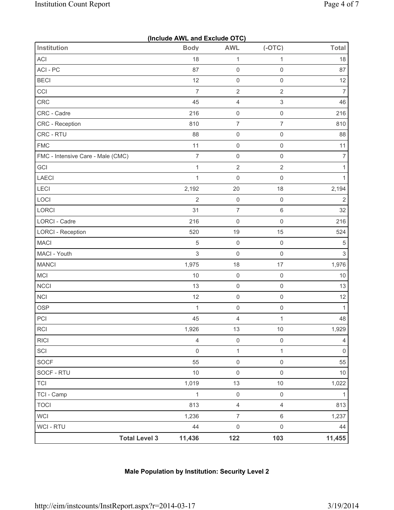|                                   | (Include AWL and Exclude OTC) |                     |                     |                     |
|-----------------------------------|-------------------------------|---------------------|---------------------|---------------------|
| <b>Institution</b>                | <b>Body</b>                   | <b>AWL</b>          | $(-OTC)$            | <b>Total</b>        |
| ACI                               | 18                            | $\mathbf{1}$        | $\mathbf{1}$        | 18                  |
| ACI-PC                            | 87                            | $\mathsf{O}\xspace$ | $\mathsf{O}\xspace$ | 87                  |
| <b>BECI</b>                       | 12                            | $\mathsf 0$         | $\mathsf{O}\xspace$ | 12                  |
| CCI                               | $\overline{7}$                | $\sqrt{2}$          | $\overline{2}$      | $\overline{7}$      |
| CRC                               | 45                            | $\overline{4}$      | $\sqrt{3}$          | 46                  |
| CRC - Cadre                       | 216                           | $\mathsf 0$         | $\mathsf{O}\xspace$ | 216                 |
| CRC - Reception                   | 810                           | $\overline{7}$      | $\overline{7}$      | 810                 |
| CRC - RTU                         | 88                            | $\mathsf 0$         | $\mathsf{O}\xspace$ | 88                  |
| <b>FMC</b>                        | 11                            | $\mathsf 0$         | $\mathsf{O}\xspace$ | 11                  |
| FMC - Intensive Care - Male (CMC) | $\overline{7}$                | $\mathsf 0$         | $\mathsf{O}\xspace$ | $\overline{7}$      |
| GCI                               | $\mathbf 1$                   | $\sqrt{2}$          | $\overline{2}$      | $\mathbf{1}$        |
| LAECI                             | $\mathbf{1}$                  | $\mathsf 0$         | $\mathsf{O}\xspace$ | $\mathbf{1}$        |
| LECI                              | 2,192                         | 20                  | 18                  | 2,194               |
| LOCI                              | $\overline{2}$                | $\mathsf 0$         | $\mathsf{O}\xspace$ | $\overline{2}$      |
| LORCI                             | 31                            | $\boldsymbol{7}$    | $\,6$               | 32                  |
| LORCI - Cadre                     | 216                           | $\mathsf 0$         | $\mathsf{O}\xspace$ | 216                 |
| <b>LORCI - Reception</b>          | 520                           | 19                  | 15                  | 524                 |
| <b>MACI</b>                       | $\sqrt{5}$                    | $\mathsf 0$         | $\mathsf{O}\xspace$ | $\sqrt{5}$          |
| MACI - Youth                      | $\mathsf 3$                   | $\mathsf 0$         | $\mathsf{O}\xspace$ | $\mathfrak{S}$      |
| <b>MANCI</b>                      | 1,975                         | 18                  | 17                  | 1,976               |
| MCI                               | $10$                          | $\mathsf 0$         | $\mathsf{O}\xspace$ | $10$                |
| <b>NCCI</b>                       | 13                            | $\mathsf 0$         | $\mathsf{O}\xspace$ | 13                  |
| <b>NCI</b>                        | 12                            | $\mathsf 0$         | $\mathsf{O}\xspace$ | 12                  |
| <b>OSP</b>                        | $\mathbf{1}$                  | $\mathsf{O}\xspace$ | $\mathsf{O}\xspace$ | $\mathbf{1}$        |
| PCI                               | 45                            | $\overline{4}$      | $\mathbf{1}$        | 48                  |
| <b>RCI</b>                        | 1,926                         | 13                  | $10\,$              | 1,929               |
| <b>RICI</b>                       | $\overline{4}$                | $\mathsf 0$         | $\mathsf{O}\xspace$ | $\overline{4}$      |
| SCI                               | $\mathsf{O}\xspace$           | $\mathbf 1$         | $\mathbf{1}$        | $\mathsf{O}\xspace$ |
| SOCF                              | 55                            | $\mathsf 0$         | $\mathsf{O}\xspace$ | 55                  |
| SOCF - RTU                        | 10                            | $\mathsf 0$         | $\mathsf{O}\xspace$ | 10                  |
| <b>TCI</b>                        | 1,019                         | 13                  | $10$                | 1,022               |
| TCI - Camp                        | $\mathbf{1}$                  | $\mathsf 0$         | $\mathsf{O}\xspace$ | $\mathbf{1}$        |
| <b>TOCI</b>                       | 813                           | $\overline{4}$      | $\overline{4}$      | 813                 |
| <b>WCI</b>                        | 1,236                         | $\overline{7}$      | 6                   | 1,237               |
| WCI - RTU                         | 44                            | $\mathsf 0$         | $\mathsf{O}\xspace$ | 44                  |
| <b>Total Level 3</b>              | 11,436                        | 122                 | 103                 | 11,455              |

# **Male Population by Institution: Security Level 2**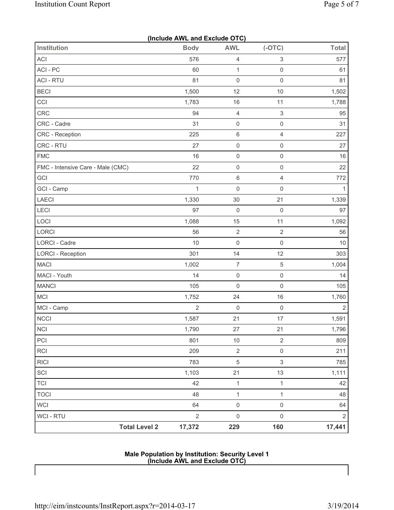|                                   | (Include AWL and Exclude OTC) |                     |                           |                |
|-----------------------------------|-------------------------------|---------------------|---------------------------|----------------|
| <b>Institution</b>                | <b>Body</b>                   | <b>AWL</b>          | $(-OTC)$                  | <b>Total</b>   |
| ACI                               | 576                           | $\overline{4}$      | $\ensuremath{\mathsf{3}}$ | 577            |
| ACI-PC                            | 60                            | $\mathbf{1}$        | $\mathsf{O}\xspace$       | 61             |
| <b>ACI - RTU</b>                  | 81                            | $\mathsf{O}\xspace$ | $\mathsf 0$               | 81             |
| <b>BECI</b>                       | 1,500                         | 12                  | 10                        | 1,502          |
| CCI                               | 1,783                         | 16                  | 11                        | 1,788          |
| CRC                               | 94                            | $\overline{4}$      | $\,$ 3 $\,$               | 95             |
| CRC - Cadre                       | 31                            | $\mathsf 0$         | $\mathsf{O}\xspace$       | 31             |
| <b>CRC</b> - Reception            | 225                           | $\,6\,$             | $\overline{4}$            | 227            |
| CRC - RTU                         | 27                            | $\mathsf 0$         | $\mathsf{O}\xspace$       | 27             |
| <b>FMC</b>                        | 16                            | $\mathsf 0$         | $\mathsf 0$               | 16             |
| FMC - Intensive Care - Male (CMC) | 22                            | $\mathsf{O}\xspace$ | $\mathsf{O}\xspace$       | 22             |
| GCI                               | 770                           | $\,6\,$             | $\overline{4}$            | 772            |
| GCI - Camp                        | $\mathbf{1}$                  | $\mathsf{O}\xspace$ | $\mathsf 0$               | $\mathbf{1}$   |
| LAECI                             | 1,330                         | 30                  | 21                        | 1,339          |
| LECI                              | 97                            | $\mathsf 0$         | $\mathsf 0$               | 97             |
| LOCI                              | 1,088                         | 15                  | 11                        | 1,092          |
| LORCI                             | 56                            | $\sqrt{2}$          | $\sqrt{2}$                | 56             |
| LORCI - Cadre                     | 10                            | $\mathsf{O}\xspace$ | $\mathsf{O}\xspace$       | 10             |
| <b>LORCI - Reception</b>          | 301                           | 14                  | 12                        | 303            |
| <b>MACI</b>                       | 1,002                         | $\boldsymbol{7}$    | $\,$ 5 $\,$               | 1,004          |
| MACI - Youth                      | 14                            | $\mathsf{O}\xspace$ | $\mathsf{O}\xspace$       | 14             |
| <b>MANCI</b>                      | 105                           | 0                   | $\mathsf{O}\xspace$       | 105            |
| MCI                               | 1,752                         | 24                  | 16                        | 1,760          |
| MCI - Camp                        | $\overline{2}$                | $\mathsf{O}\xspace$ | $\mathsf{O}\xspace$       | $\overline{2}$ |
| <b>NCCI</b>                       | 1,587                         | 21                  | 17                        | 1,591          |
| <b>NCI</b>                        | 1,790                         | 27                  | 21                        | 1,796          |
| PCI                               | 801                           | $10$                | $\sqrt{2}$                | 809            |
| <b>RCI</b>                        | 209                           | $\sqrt{2}$          | $\mathsf{O}\xspace$       | 211            |
| <b>RICI</b>                       | 783                           | 5                   | $\sqrt{3}$                | 785            |
| SCI                               | 1,103                         | 21                  | 13                        | 1,111          |
| <b>TCI</b>                        | 42                            | $\mathbf{1}$        | $\mathbf{1}$              | 42             |
| <b>TOCI</b>                       | 48                            | $\mathbf{1}$        | $\mathbf{1}$              | 48             |
| <b>WCI</b>                        | 64                            | $\mathsf{O}\xspace$ | $\mathsf{O}\xspace$       | 64             |
| <b>WCI - RTU</b>                  | $\overline{2}$                | $\mathsf{O}\xspace$ | $\mathsf{O}\xspace$       | $\sqrt{2}$     |
| <b>Total Level 2</b>              | 17,372                        | 229                 | 160                       | 17,441         |

#### **Male Population by Institution: Security Level 1 (Include AWL and Exclude OTC)**

 $\mathsf{l}$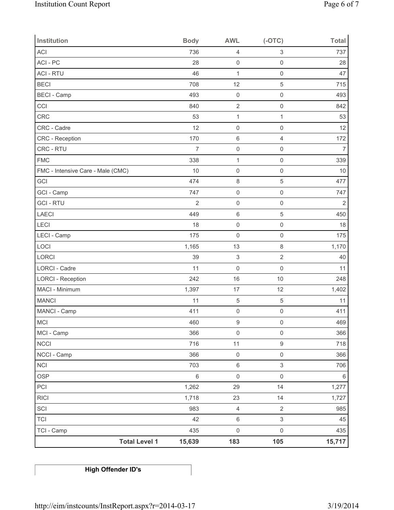| Institution                       | <b>Body</b>    | <b>AWL</b>                | $(-OTC)$            | <b>Total</b>   |
|-----------------------------------|----------------|---------------------------|---------------------|----------------|
| <b>ACI</b>                        | 736            | $\overline{4}$            | 3                   | 737            |
| ACI - PC                          | 28             | $\mathsf{O}\xspace$       | $\mathsf{O}\xspace$ | 28             |
| <b>ACI - RTU</b>                  | 46             | $\mathbf{1}$              | $\mathsf{O}\xspace$ | 47             |
| <b>BECI</b>                       | 708            | 12                        | 5                   | 715            |
| <b>BECI</b> - Camp                | 493            | $\mathsf{O}\xspace$       | $\mathsf{O}\xspace$ | 493            |
| CCI                               | 840            | $\overline{2}$            | $\mathbf 0$         | 842            |
| CRC                               | 53             | $\mathbf 1$               | $\mathbf 1$         | 53             |
| CRC - Cadre                       | 12             | $\mathsf 0$               | $\mathsf{O}\xspace$ | 12             |
| CRC - Reception                   | 170            | $\,6\,$                   | 4                   | 172            |
| CRC - RTU                         | $\overline{7}$ | $\mathsf 0$               | $\mathsf{O}\xspace$ | $\overline{7}$ |
| <b>FMC</b>                        | 338            | $\mathbf{1}$              | $\mathsf{O}\xspace$ | 339            |
| FMC - Intensive Care - Male (CMC) | 10             | $\mathsf{O}\xspace$       | $\mathbf 0$         | 10             |
| GCI                               | 474            | $\,8\,$                   | 5                   | 477            |
| GCI - Camp                        | 747            | $\mathsf{O}\xspace$       | $\mathsf{O}\xspace$ | 747            |
| <b>GCI-RTU</b>                    | $\overline{2}$ | $\mathsf{O}\xspace$       | $\mathsf{O}\xspace$ | $\overline{2}$ |
| LAECI                             | 449            | $\,6\,$                   | 5                   | 450            |
| LECI                              | 18             | $\mathsf{O}\xspace$       | $\mathsf{O}\xspace$ | 18             |
| LECI - Camp                       | 175            | $\mathsf{O}\xspace$       | $\mathbf 0$         | 175            |
| LOCI                              | 1,165          | 13                        | $\,8\,$             | 1,170          |
| LORCI                             | 39             | $\ensuremath{\mathsf{3}}$ | $\overline{2}$      | 40             |
| <b>LORCI - Cadre</b>              | 11             | $\mathsf{O}\xspace$       | $\mathbf 0$         | 11             |
| <b>LORCI - Reception</b>          | 242            | 16                        | 10                  | 248            |
| MACI - Minimum                    | 1,397          | 17                        | 12                  | 1,402          |
| <b>MANCI</b>                      | 11             | $\sqrt{5}$                | 5                   | 11             |
| MANCI - Camp                      | 411            | $\mathsf{O}\xspace$       | $\mathsf{O}\xspace$ | 411            |
| MCI                               | 460            | $\boldsymbol{9}$          | $\mathsf{O}\xspace$ | 469            |
| MCI - Camp                        | 366            | $\mathsf{O}\xspace$       | $\mathsf{O}\xspace$ | 366            |
| <b>NCCI</b>                       | 716            | 11                        | $\boldsymbol{9}$    | 718            |
| NCCI - Camp                       | 366            | $\mathsf{O}\xspace$       | $\mathsf{O}\xspace$ | 366            |
| <b>NCI</b>                        | 703            | $\,6\,$                   | 3                   | 706            |
| <b>OSP</b>                        | $\,6\,$        | $\mathsf{O}\xspace$       | $\mathsf{O}\xspace$ | 6              |
| PCI                               | 1,262          | 29                        | 14                  | 1,277          |
| R C                               | 1,718          | 23                        | 14                  | 1,727          |
| SCI                               | 983            | $\overline{4}$            | $\overline{2}$      | 985            |
| <b>TCI</b>                        | 42             | $\,6\,$                   | 3                   | 45             |
| TCI - Camp                        | 435            | $\mathsf{O}\xspace$       | $\mathsf{O}\xspace$ | 435            |
| <b>Total Level 1</b>              | 15,639         | 183                       | 105                 | 15,717         |

**High Offender ID's**